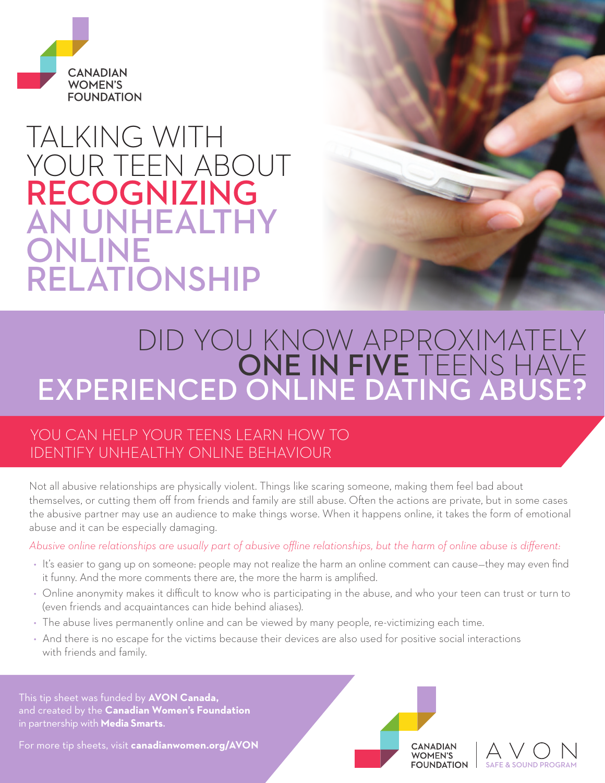

# TALKING WITH YOUR TEEN ABOUT RECOGNIZING AN UNHEALTHY ONLINE RELATIONSHIP

# DID YOU KNOW APPROXIMATELY ONE IN FIVE TEENS HAVE EXPERIENCED ONLINE DATING ABUSE?

### YOU CAN HELP YOUR TEENS LEARN HOW TO IDENTIFY UNHEALTHY ONLINE BEHAVIOUR

Not all abusive relationships are physically violent. Things like scaring someone, making them feel bad about themselves, or cutting them off from friends and family are still abuse. Often the actions are private, but in some cases the abusive partner may use an audience to make things worse. When it happens online, it takes the form of emotional abuse and it can be especially damaging.

*Abusive online relationships are usually part of abusive offline relationships, but the harm of online abuse is different:*

- It's easier to gang up on someone: people may not realize the harm an online comment can cause—they may even find it funny. And the more comments there are, the more the harm is amplified.
- Online anonymity makes it difficult to know who is participating in the abuse, and who your teen can trust or turn to (even friends and acquaintances can hide behind aliases).
- The abuse lives permanently online and can be viewed by many people, re-victimizing each time.
- And there is no escape for the victims because their devices are also used for positive social interactions with friends and family.

This tip sheet was funded by **AVON Canada,** and created by the **Canadian Women's Foundation** in partnership with **Media Smarts**.

For more tip sheets, visit **canadianwomen.org/AVON** 



WOMEN'S **FOUNDATION** SAFE & SOUND PROGRAM